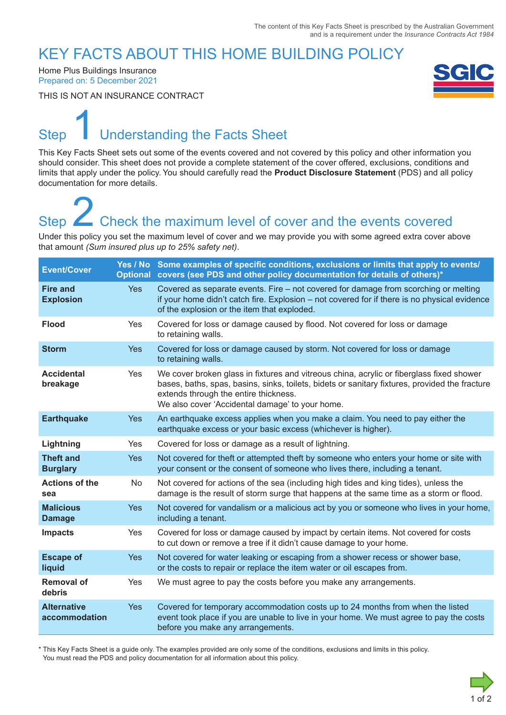### KEY FACTS ABOUT THIS HOME BUILDING POLICY

Home Plus Buildings Insurance Prepared on: 5 December 2021

THIS IS NOT AN INSURANCE CONTRACT



### Step **Understanding the Facts Sheet** 1

This Key Facts Sheet sets out some of the events covered and not covered by this policy and other information you should consider. This sheet does not provide a complete statement of the cover offered, exclusions, conditions and limits that apply under the policy. You should carefully read the **Product Disclosure Statement** (PDS) and all policy documentation for more details.

## Step **Check the maximum level of cover and the events covered** Step<br>
2 Check the maximum level of cover and the events covered<br>
Under this policy you set the maximum level of cover and we may provide you with some agreed extra cover above

that amount *(Sum insured plus up to 25% safety net)*.

| <b>Event/Cover</b>                  |            | Yes / No Some examples of specific conditions, exclusions or limits that apply to events/<br>Optional covers (see PDS and other policy documentation for details of others)*                                                                                                           |
|-------------------------------------|------------|----------------------------------------------------------------------------------------------------------------------------------------------------------------------------------------------------------------------------------------------------------------------------------------|
| <b>Fire and</b><br><b>Explosion</b> | <b>Yes</b> | Covered as separate events. Fire - not covered for damage from scorching or melting<br>if your home didn't catch fire. Explosion – not covered for if there is no physical evidence<br>of the explosion or the item that exploded.                                                     |
| <b>Flood</b>                        | Yes        | Covered for loss or damage caused by flood. Not covered for loss or damage<br>to retaining walls.                                                                                                                                                                                      |
| <b>Storm</b>                        | <b>Yes</b> | Covered for loss or damage caused by storm. Not covered for loss or damage<br>to retaining walls.                                                                                                                                                                                      |
| <b>Accidental</b><br>breakage       | Yes        | We cover broken glass in fixtures and vitreous china, acrylic or fiberglass fixed shower<br>bases, baths, spas, basins, sinks, toilets, bidets or sanitary fixtures, provided the fracture<br>extends through the entire thickness.<br>We also cover 'Accidental damage' to your home. |
| <b>Earthquake</b>                   | <b>Yes</b> | An earthquake excess applies when you make a claim. You need to pay either the<br>earthquake excess or your basic excess (whichever is higher).                                                                                                                                        |
| Lightning                           | Yes        | Covered for loss or damage as a result of lightning.                                                                                                                                                                                                                                   |
| <b>Theft and</b><br><b>Burglary</b> | <b>Yes</b> | Not covered for theft or attempted theft by someone who enters your home or site with<br>your consent or the consent of someone who lives there, including a tenant.                                                                                                                   |
| <b>Actions of the</b><br>sea        | No         | Not covered for actions of the sea (including high tides and king tides), unless the<br>damage is the result of storm surge that happens at the same time as a storm or flood.                                                                                                         |
| <b>Malicious</b><br><b>Damage</b>   | Yes        | Not covered for vandalism or a malicious act by you or someone who lives in your home,<br>including a tenant.                                                                                                                                                                          |
| <b>Impacts</b>                      | Yes        | Covered for loss or damage caused by impact by certain items. Not covered for costs<br>to cut down or remove a tree if it didn't cause damage to your home.                                                                                                                            |
| <b>Escape of</b><br>liquid          | Yes        | Not covered for water leaking or escaping from a shower recess or shower base,<br>or the costs to repair or replace the item water or oil escapes from.                                                                                                                                |
| <b>Removal of</b><br>debris         | Yes        | We must agree to pay the costs before you make any arrangements.                                                                                                                                                                                                                       |
| <b>Alternative</b><br>accommodation | <b>Yes</b> | Covered for temporary accommodation costs up to 24 months from when the listed<br>event took place if you are unable to live in your home. We must agree to pay the costs<br>before you make any arrangements.                                                                         |

\* This Key Facts Sheet is a guide only. The examples provided are only some of the conditions, exclusions and limits in this policy. You must read the PDS and policy documentation for all information about this policy.